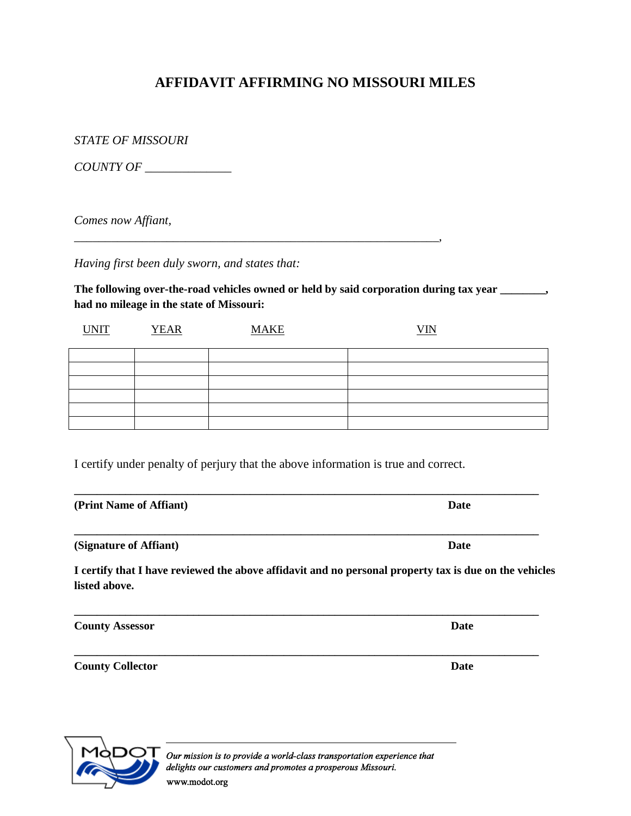## **AFFIDAVIT AFFIRMING NO MISSOURI MILES**

*STATE OF MISSOURI*

*COUNTY OF \_\_\_\_\_\_\_\_\_\_\_\_\_\_*

*Comes now Affiant,* 

*Having first been duly sworn, and states that:*

The following over-the-road vehicles owned or held by said corporation during tax year \_\_\_\_\_\_\_, **had no mileage in the state of Missouri:**

| <b>UNIT</b> | <b>YEAR</b> | <b>MAKE</b> | $VM$ |
|-------------|-------------|-------------|------|
|             |             |             |      |
|             |             |             |      |
|             |             |             |      |
|             |             |             |      |
|             |             |             |      |
|             |             |             |      |

I certify under penalty of perjury that the above information is true and correct.

*\_\_\_\_\_\_\_\_\_\_\_\_\_\_\_\_\_\_\_\_\_\_\_\_\_\_\_\_\_\_\_\_\_\_\_\_\_\_\_\_\_\_\_\_\_\_\_\_\_\_\_\_\_\_\_\_\_\_\_,*

| (Print Name of Affiant) | Date |
|-------------------------|------|
| (Signature of Affiant)  | Date |

**I certify that I have reviewed the above affidavit and no personal property tax is due on the vehicles listed above.**

| <b>County Assessor</b>  | <b>Date</b> |
|-------------------------|-------------|
| <b>County Collector</b> | Date        |



Our mission is to provide a world-class transportation experience that delights our customers and promotes a prosperous Missouri. www.modot.org